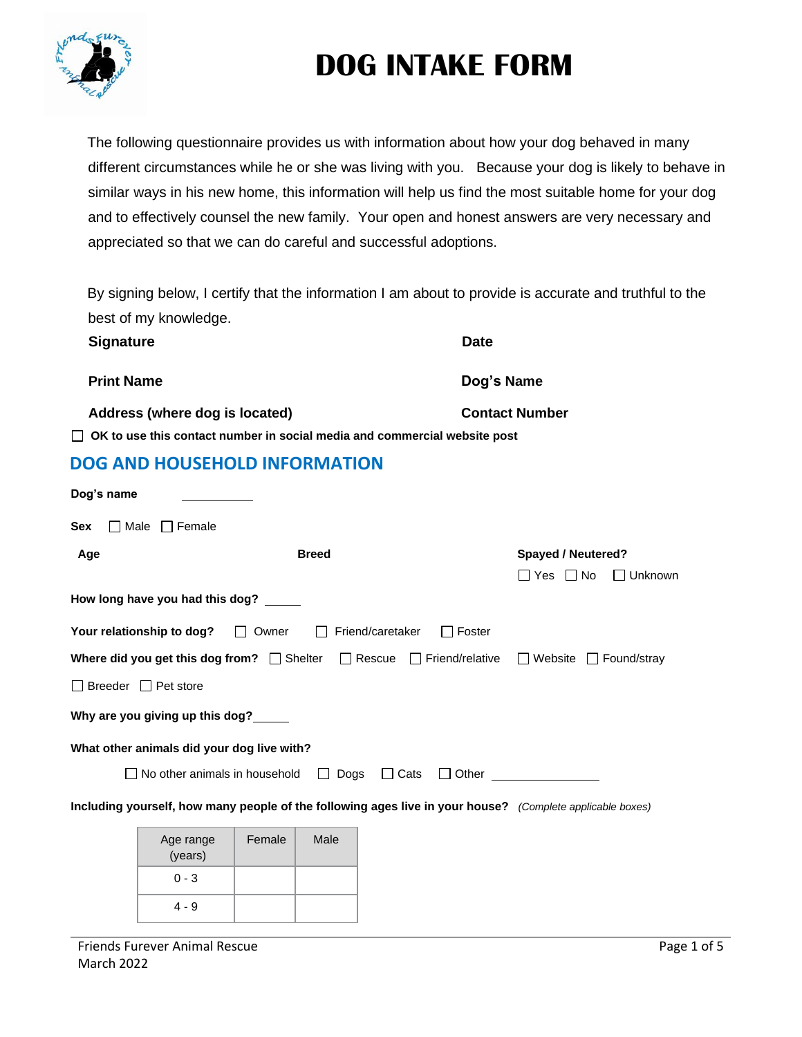

The following questionnaire provides us with information about how your dog behaved in many different circumstances while he or she was living with you. Because your dog is likely to behave in similar ways in his new home, this information will help us find the most suitable home for your dog and to effectively counsel the new family. Your open and honest answers are very necessary and appreciated so that we can do careful and successful adoptions.

By signing below, I certify that the information I am about to provide is accurate and truthful to the best of my knowledge.

| <b>Signature</b>                                                          | <b>Date</b>           |
|---------------------------------------------------------------------------|-----------------------|
| <b>Print Name</b>                                                         | Dog's Name            |
| Address (where dog is located)                                            | <b>Contact Number</b> |
| OK to use this contact number in social media and commercial website post |                       |

**DOG AND HOUSEHOLD INFORMATION**

| Unknown            |
|--------------------|
|                    |
|                    |
| $\Box$ Found/stray |
|                    |
|                    |
|                    |
|                    |
|                    |
|                    |
|                    |
|                    |

4 - 9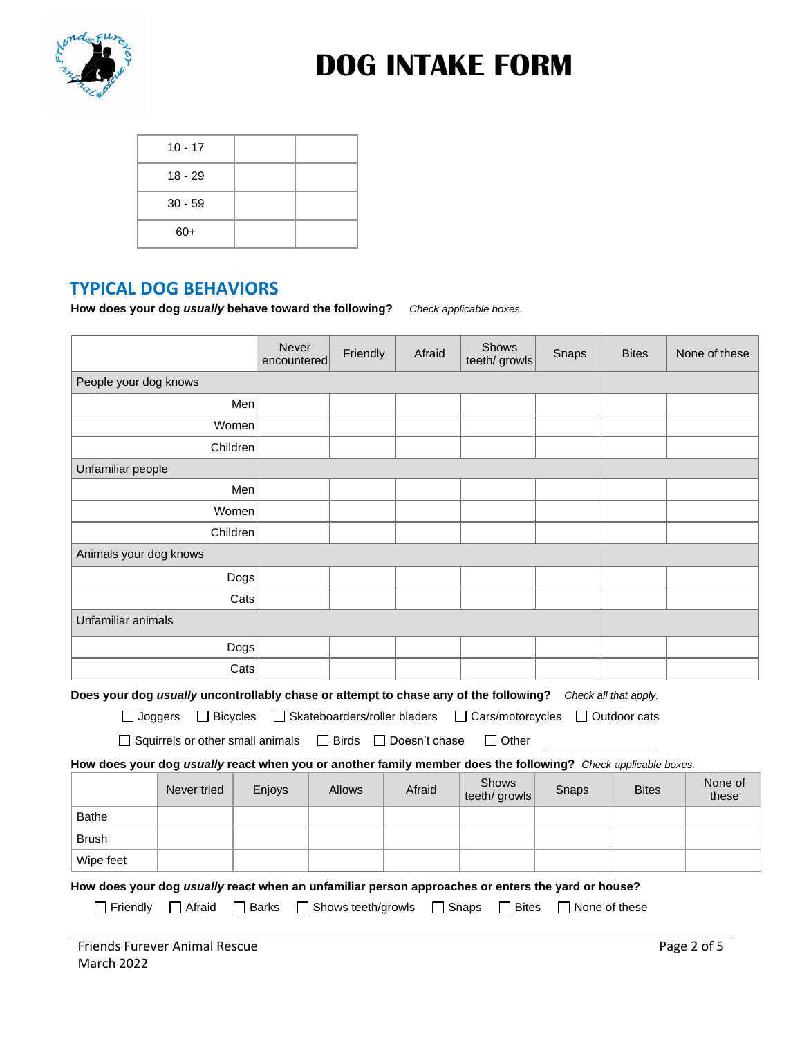

| $10 - 17$ |  |
|-----------|--|
| $18 - 29$ |  |
| $30 - 59$ |  |
| $60+$     |  |

### **TYPICAL DOG BEHAVIORS**

**How does your dog** *usually* **behave toward the following?** *Check applicable boxes.*

|                                                                                                               |                                         | Never<br>encountered |                              | Friendly | Afraid        | <b>Shows</b><br>teeth/ growls | Snaps | <b>Bites</b>          | None of these    |  |
|---------------------------------------------------------------------------------------------------------------|-----------------------------------------|----------------------|------------------------------|----------|---------------|-------------------------------|-------|-----------------------|------------------|--|
|                                                                                                               | People your dog knows                   |                      |                              |          |               |                               |       |                       |                  |  |
|                                                                                                               |                                         | Men                  |                              |          |               |                               |       |                       |                  |  |
|                                                                                                               | Women                                   |                      |                              |          |               |                               |       |                       |                  |  |
| Children                                                                                                      |                                         |                      |                              |          |               |                               |       |                       |                  |  |
|                                                                                                               | Unfamiliar people                       |                      |                              |          |               |                               |       |                       |                  |  |
|                                                                                                               | Men                                     |                      |                              |          |               |                               |       |                       |                  |  |
|                                                                                                               | Women                                   |                      |                              |          |               |                               |       |                       |                  |  |
| Children                                                                                                      |                                         |                      |                              |          |               |                               |       |                       |                  |  |
|                                                                                                               | Animals your dog knows                  |                      |                              |          |               |                               |       |                       |                  |  |
|                                                                                                               |                                         | Dogs                 |                              |          |               |                               |       |                       |                  |  |
|                                                                                                               |                                         | Cats                 |                              |          |               |                               |       |                       |                  |  |
| Unfamiliar animals                                                                                            |                                         |                      |                              |          |               |                               |       |                       |                  |  |
|                                                                                                               |                                         | Dogs                 |                              |          |               |                               |       |                       |                  |  |
|                                                                                                               |                                         | Cats                 |                              |          |               |                               |       |                       |                  |  |
| Does your dog usually uncontrollably chase or attempt to chase any of the following?                          |                                         |                      |                              |          |               |                               |       | Check all that apply. |                  |  |
| $\Box$ Joggers                                                                                                | $\Box$ Bicycles                         |                      | Skateboarders/roller bladers |          |               | $\Box$ Cars/motorcycles       |       | Outdoor cats          |                  |  |
|                                                                                                               | $\Box$ Squirrels or other small animals |                      | $\Box$ Birds                 | $\Box$   | Doesn't chase | Other<br>$\mathsf{L}$         |       |                       |                  |  |
| How does your dog usually react when you or another family member does the following? Check applicable boxes. |                                         |                      |                              |          |               |                               |       |                       |                  |  |
|                                                                                                               | Never tried                             | Enjoys               | <b>Allows</b>                |          | Afraid        | Shows<br>teeth/ growls        | Snaps | <b>Bites</b>          | None of<br>these |  |
| <b>Bathe</b>                                                                                                  |                                         |                      |                              |          |               |                               |       |                       |                  |  |
| <b>Brush</b>                                                                                                  |                                         |                      |                              |          |               |                               |       |                       |                  |  |
| Wipe feet                                                                                                     |                                         |                      |                              |          |               |                               |       |                       |                  |  |
| How does your dog usually react when an unfamiliar person approaches or enters the yard or house?             |                                         |                      |                              |          |               |                               |       |                       |                  |  |
| Friendly                                                                                                      | Afraid                                  | <b>Barks</b>         | Shows teeth/growls           |          |               | Snaps<br><b>Bites</b>         |       | None of these         |                  |  |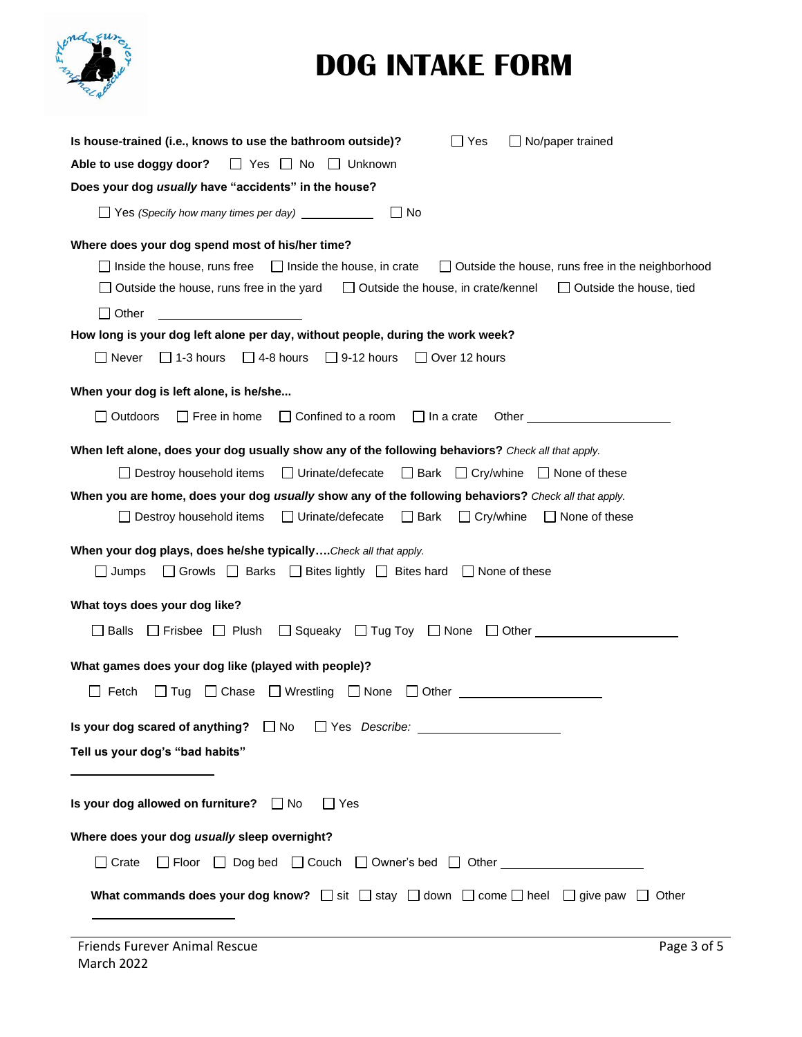| Is house-trained (i.e., knows to use the bathroom outside)?<br>No/paper trained<br>∐ Yes                                                                                                                                                                                                                           |
|--------------------------------------------------------------------------------------------------------------------------------------------------------------------------------------------------------------------------------------------------------------------------------------------------------------------|
| Able to use doggy door?<br>No Pres No<br>  Unknown                                                                                                                                                                                                                                                                 |
| Does your dog usually have "accidents" in the house?                                                                                                                                                                                                                                                               |
| Yes (Specify how many times per day) ____________<br>∣ I No                                                                                                                                                                                                                                                        |
| Where does your dog spend most of his/her time?                                                                                                                                                                                                                                                                    |
| $\Box$ Inside the house, runs free<br>$\Box$ Inside the house, in crate<br>□ Outside the house, runs free in the neighborhood                                                                                                                                                                                      |
| Outside the house, runs free in the yard<br>$\Box$ Outside the house, in crate/kennel<br>$\Box$ Outside the house, tied                                                                                                                                                                                            |
| $\Box$ Other                                                                                                                                                                                                                                                                                                       |
| How long is your dog left alone per day, without people, during the work week?                                                                                                                                                                                                                                     |
| $\Box$ Never<br>$\Box$ 1-3 hours<br>$\Box$ 4-8 hours<br>$\Box$ 9-12 hours<br>$\Box$ Over 12 hours                                                                                                                                                                                                                  |
| When your dog is left alone, is he/she                                                                                                                                                                                                                                                                             |
| Outdoors<br>$\Box$ Free in home<br>$\Box$ Confined to a room<br>$\Box$ In a crate<br>Other and the contract of the contract of the contract of the contract of the contract of the contract of the contract of the contract of the contract of the contract of the contract of the contract of the contract of the |
| When left alone, does your dog usually show any of the following behaviors? Check all that apply.                                                                                                                                                                                                                  |
| $\Box$ Bark $\Box$ Cry/whine $\Box$ None of these<br>$\Box$ Destroy household items<br>$\Box$ Urinate/defecate                                                                                                                                                                                                     |
| When you are home, does your dog usually show any of the following behaviors? Check all that apply.                                                                                                                                                                                                                |
| $\Box$ Urinate/defecate<br>$\Box$ Bark<br>$\Box$ Destroy household items<br>$\Box$ Cry/whine<br>$\Box$ None of these                                                                                                                                                                                               |
| When your dog plays, does he/she typically Check all that apply.                                                                                                                                                                                                                                                   |
| $\Box$ Jumps<br>□ Growls □ Barks<br>$\Box$ Bites lightly $\Box$ Bites hard<br>$\Box$ None of these                                                                                                                                                                                                                 |
| What toys does your dog like?                                                                                                                                                                                                                                                                                      |
| <b>Balls</b><br>Squeaky $\Box$ Tug Toy $\Box$ None<br>Frisbee   Plush<br>$\Box$ Other<br>$\Box$                                                                                                                                                                                                                    |
| What games does your dog like (played with people)?                                                                                                                                                                                                                                                                |
| Fetch<br>$\Box$ Chase<br>$\Box$ Wrestling<br>$\Box$ None<br>Tug<br>Other                                                                                                                                                                                                                                           |
| Is your dog scared of anything? $\Box$ No<br>$\Box$ Yes Describe:                                                                                                                                                                                                                                                  |
| Tell us your dog's "bad habits"                                                                                                                                                                                                                                                                                    |
|                                                                                                                                                                                                                                                                                                                    |
| Is your dog allowed on furniture? □ No<br>$\Box$ Yes                                                                                                                                                                                                                                                               |
| Where does your dog usually sleep overnight?                                                                                                                                                                                                                                                                       |
| $\Box$ Floor<br>$\Box$ Crate                                                                                                                                                                                                                                                                                       |
| What commands does your dog know? $\Box$ sit $\Box$ stay $\Box$ down $\Box$ come $\Box$ heel $\Box$ give paw $\Box$ Other                                                                                                                                                                                          |
|                                                                                                                                                                                                                                                                                                                    |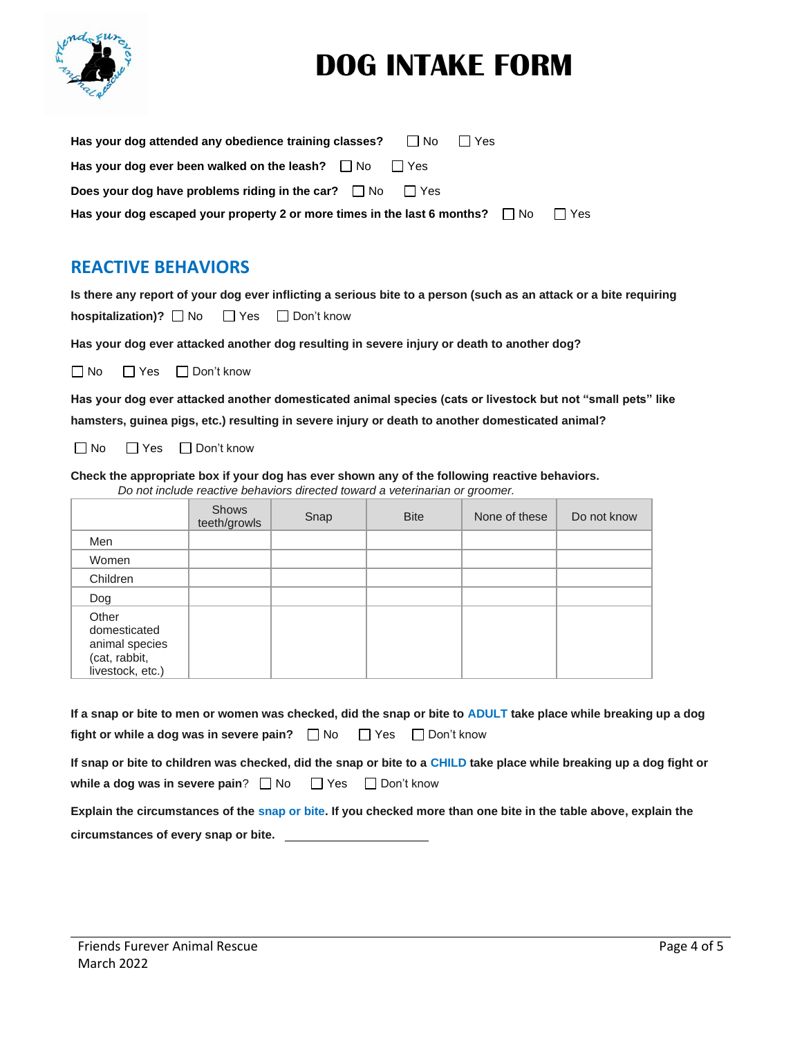

| Has your dog attended any obedience training classes?<br>l INo<br>l I Yes          |         |
|------------------------------------------------------------------------------------|---------|
| Has your dog ever been walked on the leash? $\Box$ No $\Box$ Yes                   |         |
| Does your dog have problems riding in the car? $\Box$ No $\Box$ Yes                |         |
| Has your dog escaped your property 2 or more times in the last 6 months? $\Box$ No | l I Yes |

### **REACTIVE BEHAVIORS**

**Is there any report of your dog ever inflicting a serious bite to a person (such as an attack or a bite requiring hospitalization)?** No DYes DDon't know

**Has your dog ever attacked another dog resulting in severe injury or death to another dog?**

□ No □ Yes □ Don't know

**Has your dog ever attacked another domesticated animal species (cats or livestock but not "small pets" like hamsters, guinea pigs, etc.) resulting in severe injury or death to another domesticated animal?**

■No ■Yes ■Don't know

**Check the appropriate box if your dog has ever shown any of the following reactive behaviors.** *Do not include reactive behaviors directed toward a veterinarian or groomer.*

|                                                                              | <b>Shows</b><br>teeth/growls | Snap | <b>Bite</b> | None of these | Do not know |
|------------------------------------------------------------------------------|------------------------------|------|-------------|---------------|-------------|
| Men                                                                          |                              |      |             |               |             |
| Women                                                                        |                              |      |             |               |             |
| Children                                                                     |                              |      |             |               |             |
| Dog                                                                          |                              |      |             |               |             |
| Other<br>domesticated<br>animal species<br>(cat, rabbit,<br>livestock, etc.) |                              |      |             |               |             |

|                                                                                 |  | If a snap or bite to men or women was checked, did the snap or bite to ADULT take place while breaking up a dog |
|---------------------------------------------------------------------------------|--|-----------------------------------------------------------------------------------------------------------------|
| fight or while a dog was in severe pain? $\Box$ No $\Box$ Yes $\Box$ Don't know |  |                                                                                                                 |

|                                                                        | If snap or bite to children was checked, did the snap or bite to a CHILD take place while breaking up a dog fight or |
|------------------------------------------------------------------------|----------------------------------------------------------------------------------------------------------------------|
| while a dog was in severe pain? $\Box$ No $\Box$ Yes $\Box$ Don't know |                                                                                                                      |

**Explain the circumstances of the snap or bite. If you checked more than one bite in the table above, explain the circumstances of every snap or bite.**